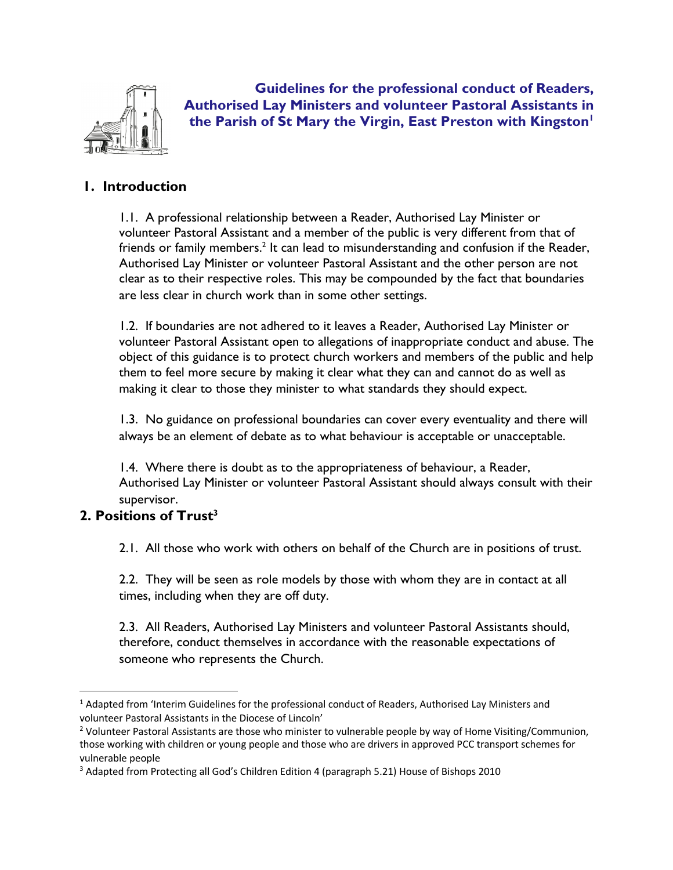

**Guidelines for the professional conduct of Readers, Authorised Lay Ministers and volunteer Pastoral Assistants in the Parish of St Mary the Virgin, East Preston with Kingston1**

# **1. Introduction**

1.1. A professional relationship between a Reader, Authorised Lay Minister or volunteer Pastoral Assistant and a member of the public is very different from that of friends or family members.<sup>2</sup> It can lead to misunderstanding and confusion if the Reader, Authorised Lay Minister or volunteer Pastoral Assistant and the other person are not clear as to their respective roles. This may be compounded by the fact that boundaries are less clear in church work than in some other settings.

1.2. If boundaries are not adhered to it leaves a Reader, Authorised Lay Minister or volunteer Pastoral Assistant open to allegations of inappropriate conduct and abuse. The object of this guidance is to protect church workers and members of the public and help them to feel more secure by making it clear what they can and cannot do as well as making it clear to those they minister to what standards they should expect.

1.3. No guidance on professional boundaries can cover every eventuality and there will always be an element of debate as to what behaviour is acceptable or unacceptable.

1.4. Where there is doubt as to the appropriateness of behaviour, a Reader, Authorised Lay Minister or volunteer Pastoral Assistant should always consult with their supervisor.

# **2. Positions of Trust3**

2.1. All those who work with others on behalf of the Church are in positions of trust.

2.2. They will be seen as role models by those with whom they are in contact at all times, including when they are off duty.

2.3. All Readers, Authorised Lay Ministers and volunteer Pastoral Assistants should, therefore, conduct themselves in accordance with the reasonable expectations of someone who represents the Church.

<sup>&</sup>lt;sup>1</sup> Adapted from 'Interim Guidelines for the professional conduct of Readers, Authorised Lay Ministers and volunteer Pastoral Assistants in the Diocese of Lincoln'<br><sup>2</sup> Volunteer Pastoral Assistants are those who minister to vulnerable people by way of Home Visiting/Communion,

those working with children or young people and those who are drivers in approved PCC transport schemes for vulnerable people

<sup>&</sup>lt;sup>3</sup> Adapted from Protecting all God's Children Edition 4 (paragraph 5.21) House of Bishops 2010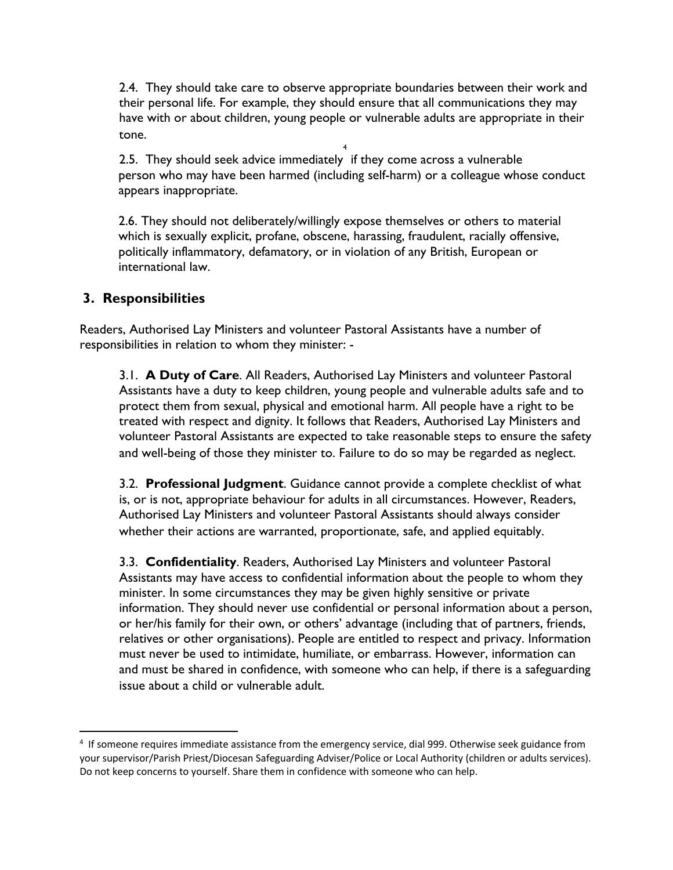2.4. They should take care to observe appropriate boundaries between their work and their personal life. For example, they should ensure that all communications they may have with or about children, young people or vulnerable adults are appropriate in their tone.

2.5. They should seek advice immediately if they come across a vulnerable 4 person who may have been harmed (including self-harm) or a colleague whose conduct appears inappropriate.

2.6. They should not deliberately/willingly expose themselves or others to material which is sexually explicit, profane, obscene, harassing, fraudulent, racially offensive, politically inflammatory, defamatory, or in violation of any British, European or international law.

# **3. Responsibilities**

Readers, Authorised Lay Ministers and volunteer Pastoral Assistants have a number of responsibilities in relation to whom they minister: -

3.1. **A Duty of Care**. All Readers, Authorised Lay Ministers and volunteer Pastoral Assistants have a duty to keep children, young people and vulnerable adults safe and to protect them from sexual, physical and emotional harm. All people have a right to be treated with respect and dignity. It follows that Readers, Authorised Lay Ministers and volunteer Pastoral Assistants are expected to take reasonable steps to ensure the safety and well-being of those they minister to. Failure to do so may be regarded as neglect.

3.2. **Professional Judgment**. Guidance cannot provide a complete checklist of what is, or is not, appropriate behaviour for adults in all circumstances. However, Readers, Authorised Lay Ministers and volunteer Pastoral Assistants should always consider whether their actions are warranted, proportionate, safe, and applied equitably.

3.3. **Confidentiality**. Readers, Authorised Lay Ministers and volunteer Pastoral Assistants may have access to confidential information about the people to whom they minister. In some circumstances they may be given highly sensitive or private information. They should never use confidential or personal information about a person, or her/his family for their own, or others' advantage (including that of partners, friends, relatives or other organisations). People are entitled to respect and privacy. Information must never be used to intimidate, humiliate, or embarrass. However, information can and must be shared in confidence, with someone who can help, if there is a safeguarding issue about a child or vulnerable adult.

<sup>4</sup> If someone requires immediate assistance from the emergency service, dial 999. Otherwise seek guidance from your supervisor/Parish Priest/Diocesan Safeguarding Adviser/Police or Local Authority (children or adults services). Do not keep concerns to yourself. Share them in confidence with someone who can help.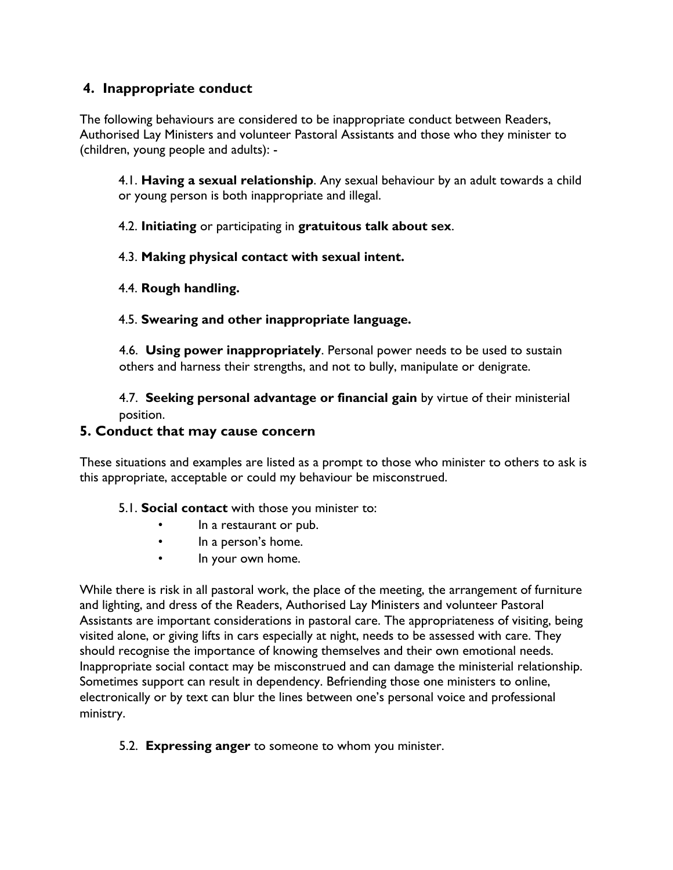# **4. Inappropriate conduct**

The following behaviours are considered to be inappropriate conduct between Readers, Authorised Lay Ministers and volunteer Pastoral Assistants and those who they minister to (children, young people and adults): -

4.1. **Having a sexual relationship**. Any sexual behaviour by an adult towards a child or young person is both inappropriate and illegal.

4.2. **Initiating** or participating in **gratuitous talk about sex**.

## 4.3. **Making physical contact with sexual intent.**

## 4.4. **Rough handling.**

## 4.5. **Swearing and other inappropriate language.**

4.6. **Using power inappropriately**. Personal power needs to be used to sustain others and harness their strengths, and not to bully, manipulate or denigrate.

4.7. **Seeking personal advantage or financial gain** by virtue of their ministerial position.

#### **5. Conduct that may cause concern**

These situations and examples are listed as a prompt to those who minister to others to ask is this appropriate, acceptable or could my behaviour be misconstrued.

#### 5.1. **Social contact** with those you minister to:

- In a restaurant or pub.
- In a person's home.
- In your own home.

While there is risk in all pastoral work, the place of the meeting, the arrangement of furniture and lighting, and dress of the Readers, Authorised Lay Ministers and volunteer Pastoral Assistants are important considerations in pastoral care. The appropriateness of visiting, being visited alone, or giving lifts in cars especially at night, needs to be assessed with care. They should recognise the importance of knowing themselves and their own emotional needs. Inappropriate social contact may be misconstrued and can damage the ministerial relationship. Sometimes support can result in dependency. Befriending those one ministers to online, electronically or by text can blur the lines between one's personal voice and professional ministry.

#### 5.2. **Expressing anger** to someone to whom you minister.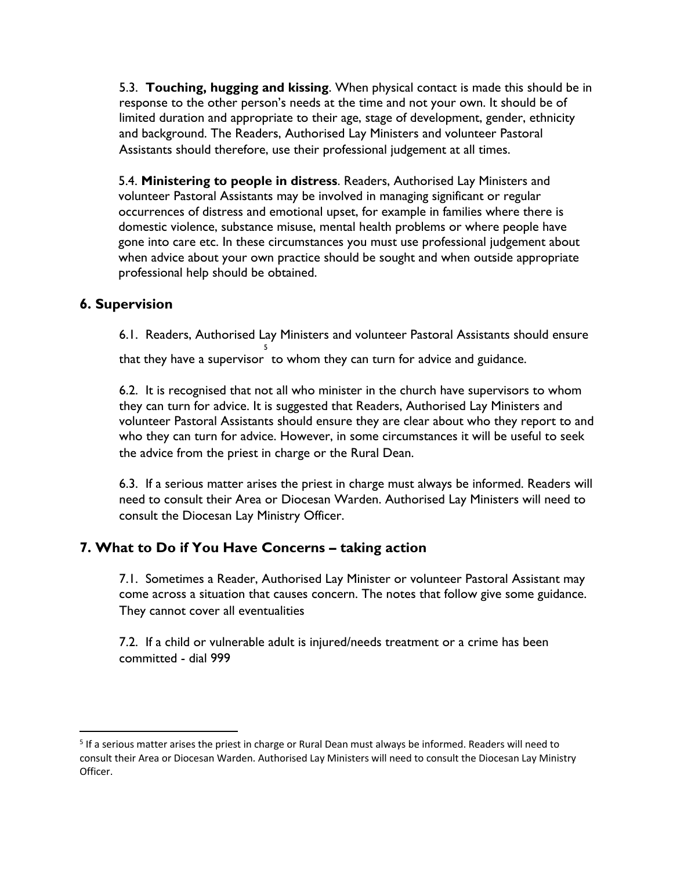5.3. **Touching, hugging and kissing**. When physical contact is made this should be in response to the other person's needs at the time and not your own. It should be of limited duration and appropriate to their age, stage of development, gender, ethnicity and background. The Readers, Authorised Lay Ministers and volunteer Pastoral Assistants should therefore, use their professional judgement at all times.

5.4. **Ministering to people in distress**. Readers, Authorised Lay Ministers and volunteer Pastoral Assistants may be involved in managing significant or regular occurrences of distress and emotional upset, for example in families where there is domestic violence, substance misuse, mental health problems or where people have gone into care etc. In these circumstances you must use professional judgement about when advice about your own practice should be sought and when outside appropriate professional help should be obtained.

## **6. Supervision**

6.1. Readers, Authorised Lay Ministers and volunteer Pastoral Assistants should ensure that they have a supervisor 5 to whom they can turn for advice and guidance.

6.2. It is recognised that not all who minister in the church have supervisors to whom they can turn for advice. It is suggested that Readers, Authorised Lay Ministers and volunteer Pastoral Assistants should ensure they are clear about who they report to and who they can turn for advice. However, in some circumstances it will be useful to seek the advice from the priest in charge or the Rural Dean.

6.3. If a serious matter arises the priest in charge must always be informed. Readers will need to consult their Area or Diocesan Warden. Authorised Lay Ministers will need to consult the Diocesan Lay Ministry Officer.

# **7. What to Do if You Have Concerns – taking action**

7.1. Sometimes a Reader, Authorised Lay Minister or volunteer Pastoral Assistant may come across a situation that causes concern. The notes that follow give some guidance. They cannot cover all eventualities

7.2. If a child or vulnerable adult is injured/needs treatment or a crime has been committed - dial 999

<sup>5</sup> If a serious matter arises the priest in charge or Rural Dean must always be informed. Readers will need to consult their Area or Diocesan Warden. Authorised Lay Ministers will need to consult the Diocesan Lay Ministry Officer.